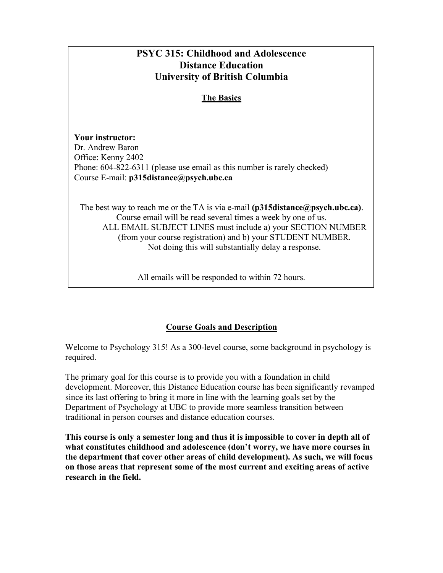# **PSYC 315: Childhood and Adolescence Distance Education University of British Columbia The Basics Your instructor:** Dr. Andrew Baron Office: Kenny 2402 Phone: 604-822-6311 (please use email as this number is rarely checked) Course E-mail: **p315distance@psych.ubc.ca** The best way to reach me or the TA is via e-mail **(p315distance@psych.ubc.ca)**. Course email will be read several times a week by one of us. ALL EMAIL SUBJECT LINES must include a) your SECTION NUMBER (from your course registration) and b) your STUDENT NUMBER. Not doing this will substantially delay a response.

All emails will be responded to within 72 hours.

## **Course Goals and Description**

Welcome to Psychology 315! As a 300-level course, some background in psychology is required.

The primary goal for this course is to provide you with a foundation in child development. Moreover, this Distance Education course has been significantly revamped since its last offering to bring it more in line with the learning goals set by the Department of Psychology at UBC to provide more seamless transition between traditional in person courses and distance education courses.

**This course is only a semester long and thus it is impossible to cover in depth all of what constitutes childhood and adolescence (don't worry, we have more courses in the department that cover other areas of child development). As such, we will focus on those areas that represent some of the most current and exciting areas of active research in the field.**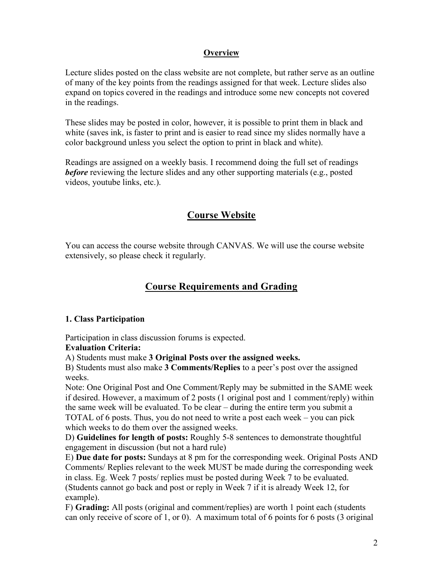## **Overview**

Lecture slides posted on the class website are not complete, but rather serve as an outline of many of the key points from the readings assigned for that week. Lecture slides also expand on topics covered in the readings and introduce some new concepts not covered in the readings.

These slides may be posted in color, however, it is possible to print them in black and white (saves ink, is faster to print and is easier to read since my slides normally have a color background unless you select the option to print in black and white).

Readings are assigned on a weekly basis. I recommend doing the full set of readings *before* reviewing the lecture slides and any other supporting materials (e.g., posted videos, youtube links, etc.).

## **Course Website**

You can access the course website through CANVAS. We will use the course website extensively, so please check it regularly.

## **Course Requirements and Grading**

## **1. Class Participation**

Participation in class discussion forums is expected.

## **Evaluation Criteria:**

A) Students must make **3 Original Posts over the assigned weeks.**

B) Students must also make **3 Comments/Replies** to a peer's post over the assigned weeks.

Note: One Original Post and One Comment/Reply may be submitted in the SAME week if desired. However, a maximum of 2 posts (1 original post and 1 comment/reply) within the same week will be evaluated. To be clear – during the entire term you submit a TOTAL of 6 posts. Thus, you do not need to write a post each week – you can pick which weeks to do them over the assigned weeks.

D) **Guidelines for length of posts:** Roughly 5-8 sentences to demonstrate thoughtful engagement in discussion (but not a hard rule)

E) **Due date for posts:** Sundays at 8 pm for the corresponding week. Original Posts AND Comments/ Replies relevant to the week MUST be made during the corresponding week in class. Eg. Week 7 posts/ replies must be posted during Week 7 to be evaluated. (Students cannot go back and post or reply in Week 7 if it is already Week 12, for example).

F) **Grading:** All posts (original and comment/replies) are worth 1 point each (students can only receive of score of 1, or 0). A maximum total of 6 points for 6 posts (3 original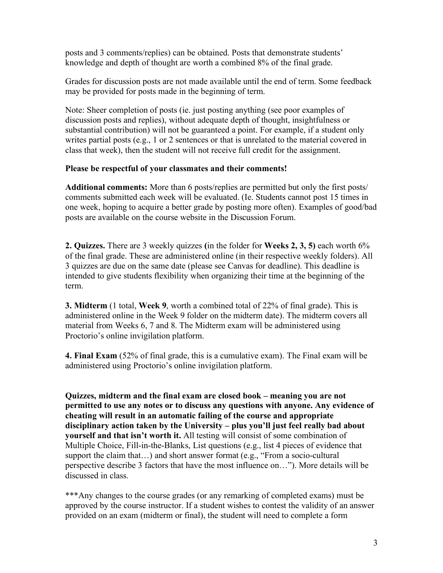posts and 3 comments/replies) can be obtained. Posts that demonstrate students' knowledge and depth of thought are worth a combined 8% of the final grade.

Grades for discussion posts are not made available until the end of term. Some feedback may be provided for posts made in the beginning of term.

Note: Sheer completion of posts (ie. just posting anything (see poor examples of discussion posts and replies), without adequate depth of thought, insightfulness or substantial contribution) will not be guaranteed a point. For example, if a student only writes partial posts (e.g., 1 or 2 sentences or that is unrelated to the material covered in class that week), then the student will not receive full credit for the assignment.

## **Please be respectful of your classmates and their comments!**

**Additional comments:** More than 6 posts/replies are permitted but only the first posts/ comments submitted each week will be evaluated. (Ie. Students cannot post 15 times in one week, hoping to acquire a better grade by posting more often). Examples of good/bad posts are available on the course website in the Discussion Forum.

**2. Quizzes.** There are 3 weekly quizzes **(**in the folder for **Weeks 2, 3, 5)** each worth 6% of the final grade. These are administered online (in their respective weekly folders). All 3 quizzes are due on the same date (please see Canvas for deadline). This deadline is intended to give students flexibility when organizing their time at the beginning of the term.

**3. Midterm** (1 total, **Week 9**, worth a combined total of 22% of final grade). This is administered online in the Week 9 folder on the midterm date). The midterm covers all material from Weeks 6, 7 and 8. The Midterm exam will be administered using Proctorio's online invigilation platform.

**4. Final Exam** (52% of final grade, this is a cumulative exam). The Final exam will be administered using Proctorio's online invigilation platform.

**Quizzes, midterm and the final exam are closed book – meaning you are not permitted to use any notes or to discuss any questions with anyone. Any evidence of cheating will result in an automatic failing of the course and appropriate disciplinary action taken by the University – plus you'll just feel really bad about yourself and that isn't worth it.** All testing will consist of some combination of Multiple Choice, Fill-in-the-Blanks, List questions (e.g., list 4 pieces of evidence that support the claim that…) and short answer format (e.g., "From a socio-cultural perspective describe 3 factors that have the most influence on…"). More details will be discussed in class.

\*\*\*Any changes to the course grades (or any remarking of completed exams) must be approved by the course instructor. If a student wishes to contest the validity of an answer provided on an exam (midterm or final), the student will need to complete a form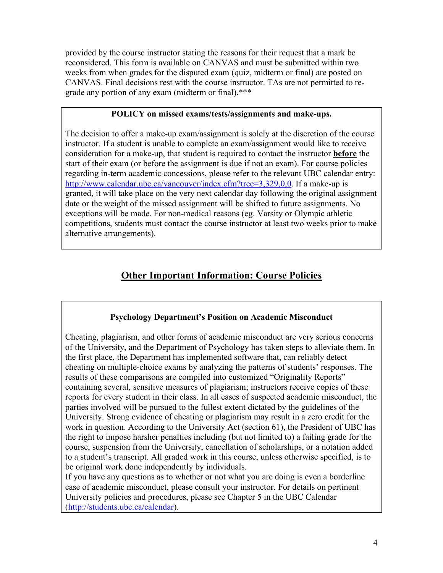provided by the course instructor stating the reasons for their request that a mark be reconsidered. This form is available on CANVAS and must be submitted within two weeks from when grades for the disputed exam (quiz, midterm or final) are posted on CANVAS. Final decisions rest with the course instructor. TAs are not permitted to regrade any portion of any exam (midterm or final).\*\*\*

## **POLICY on missed exams/tests/assignments and make-ups.**

The decision to offer a make-up exam/assignment is solely at the discretion of the course instructor. If a student is unable to complete an exam/assignment would like to receive consideration for a make-up, that student is required to contact the instructor **before** the start of their exam (or before the assignment is due if not an exam). For course policies regarding in-term academic concessions, please refer to the relevant UBC calendar entry: http://www.calendar.ubc.ca/vancouver/index.cfm?tree=3,329,0,0. If a make-up is granted, it will take place on the very next calendar day following the original assignment date or the weight of the missed assignment will be shifted to future assignments. No exceptions will be made. For non-medical reasons (eg. Varsity or Olympic athletic competitions, students must contact the course instructor at least two weeks prior to make alternative arrangements).

## **Other Important Information: Course Policies**

## **Psychology Department's Position on Academic Misconduct**

Cheating, plagiarism, and other forms of academic misconduct are very serious concerns of the University, and the Department of Psychology has taken steps to alleviate them. In the first place, the Department has implemented software that, can reliably detect cheating on multiple-choice exams by analyzing the patterns of students' responses. The results of these comparisons are compiled into customized "Originality Reports" containing several, sensitive measures of plagiarism; instructors receive copies of these reports for every student in their class. In all cases of suspected academic misconduct, the parties involved will be pursued to the fullest extent dictated by the guidelines of the University. Strong evidence of cheating or plagiarism may result in a zero credit for the work in question. According to the University Act (section 61), the President of UBC has the right to impose harsher penalties including (but not limited to) a failing grade for the course, suspension from the University, cancellation of scholarships, or a notation added to a student's transcript. All graded work in this course, unless otherwise specified, is to be original work done independently by individuals.

If you have any questions as to whether or not what you are doing is even a borderline case of academic misconduct, please consult your instructor. For details on pertinent University policies and procedures, please see Chapter 5 in the UBC Calendar (http://students.ubc.ca/calendar).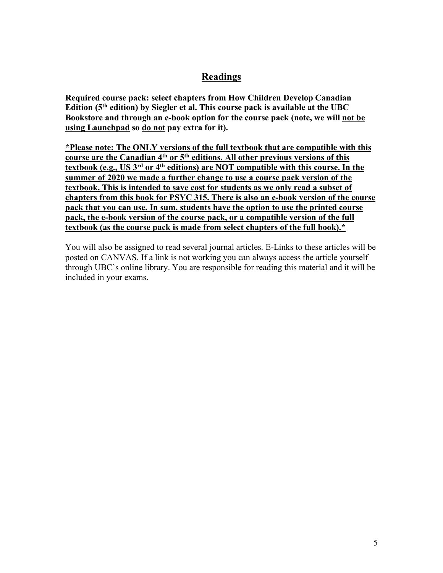## **Readings**

**Required course pack: select chapters from How Children Develop Canadian Edition (5th edition) by Siegler et al. This course pack is available at the UBC Bookstore and through an e-book option for the course pack (note, we will not be using Launchpad so do not pay extra for it).**

**\*Please note: The ONLY versions of the full textbook that are compatible with this course are the Canadian 4th or 5th editions. All other previous versions of this textbook (e.g., US 3rd or 4th editions) are NOT compatible with this course. In the summer of 2020 we made a further change to use a course pack version of the textbook. This is intended to save cost for students as we only read a subset of chapters from this book for PSYC 315. There is also an e-book version of the course pack that you can use. In sum, students have the option to use the printed course pack, the e-book version of the course pack, or a compatible version of the full textbook (as the course pack is made from select chapters of the full book).\***

You will also be assigned to read several journal articles. E-Links to these articles will be posted on CANVAS. If a link is not working you can always access the article yourself through UBC's online library. You are responsible for reading this material and it will be included in your exams.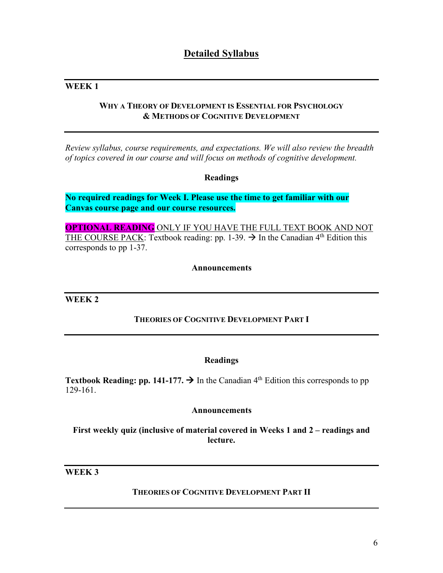## **Detailed Syllabus**

## **WEEK 1**

## **WHY A THEORY OF DEVELOPMENT IS ESSENTIAL FOR PSYCHOLOGY & METHODS OF COGNITIVE DEVELOPMENT**

*Review syllabus, course requirements, and expectations. We will also review the breadth of topics covered in our course and will focus on methods of cognitive development.*

## **Readings**

**No required readings for Week I. Please use the time to get familiar with our Canvas course page and our course resources.**

**OPTIONAL READING** ONLY IF YOU HAVE THE FULL TEXT BOOK AND NOT THE COURSE PACK: Textbook reading: pp. 1-39.  $\rightarrow$  In the Canadian 4<sup>th</sup> Edition this corresponds to pp 1-37.

## **Announcements**

**WEEK 2**

## **THEORIES OF COGNITIVE DEVELOPMENT PART I**

#### **Readings**

**Textbook Reading: pp. 141-177.**  $\rightarrow$  In the Canadian 4<sup>th</sup> Edition this corresponds to pp 129-161.

#### **Announcements**

**First weekly quiz (inclusive of material covered in Weeks 1 and 2 – readings and lecture.**

## **WEEK 3**

## **THEORIES OF COGNITIVE DEVELOPMENT PART II**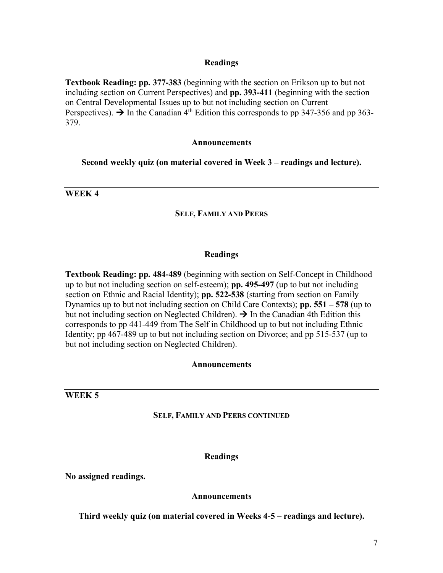## **Readings**

**Textbook Reading: pp. 377-383** (beginning with the section on Erikson up to but not including section on Current Perspectives) and **pp. 393-411** (beginning with the section on Central Developmental Issues up to but not including section on Current Perspectives).  $\rightarrow$  In the Canadian 4<sup>th</sup> Edition this corresponds to pp 347-356 and pp 363-379.

#### **Announcements**

**Second weekly quiz (on material covered in Week 3 – readings and lecture).**

**WEEK 4**

#### **SELF, FAMILY AND PEERS**

#### **Readings**

**Textbook Reading: pp. 484-489** (beginning with section on Self-Concept in Childhood up to but not including section on self-esteem); **pp. 495-497** (up to but not including section on Ethnic and Racial Identity); **pp. 522-538** (starting from section on Family Dynamics up to but not including section on Child Care Contexts); **pp. 551 – 578** (up to but not including section on Neglected Children).  $\rightarrow$  In the Canadian 4th Edition this corresponds to pp 441-449 from The Self in Childhood up to but not including Ethnic Identity; pp 467-489 up to but not including section on Divorce; and pp 515-537 (up to but not including section on Neglected Children).

#### **Announcements**

**WEEK 5**

#### **SELF, FAMILY AND PEERS CONTINUED**

#### **Readings**

**No assigned readings.**

#### **Announcements**

**Third weekly quiz (on material covered in Weeks 4-5 – readings and lecture).**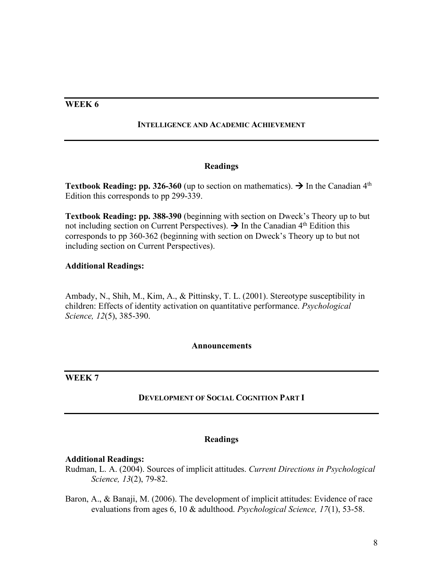## **WEEK 6**

### **INTELLIGENCE AND ACADEMIC ACHIEVEMENT**

## **Readings**

**Textbook Reading: pp. 326-360** (up to section on mathematics).  $\rightarrow$  In the Canadian 4<sup>th</sup> Edition this corresponds to pp 299-339.

**Textbook Reading: pp. 388-390** (beginning with section on Dweck's Theory up to but not including section on Current Perspectives).  $\rightarrow$  In the Canadian 4<sup>th</sup> Edition this corresponds to pp 360-362 (beginning with section on Dweck's Theory up to but not including section on Current Perspectives).

## **Additional Readings:**

Ambady, N., Shih, M., Kim, A., & Pittinsky, T. L. (2001). Stereotype susceptibility in children: Effects of identity activation on quantitative performance. *Psychological Science, 12*(5), 385-390.

#### **Announcements**

## **WEEK 7**

## **DEVELOPMENT OF SOCIAL COGNITION PART I**

## **Readings**

#### **Additional Readings:**

Rudman, L. A. (2004). Sources of implicit attitudes. *Current Directions in Psychological Science, 13*(2), 79-82.

Baron, A., & Banaji, M. (2006). The development of implicit attitudes: Evidence of race evaluations from ages 6, 10 & adulthood. *Psychological Science, 17*(1), 53-58.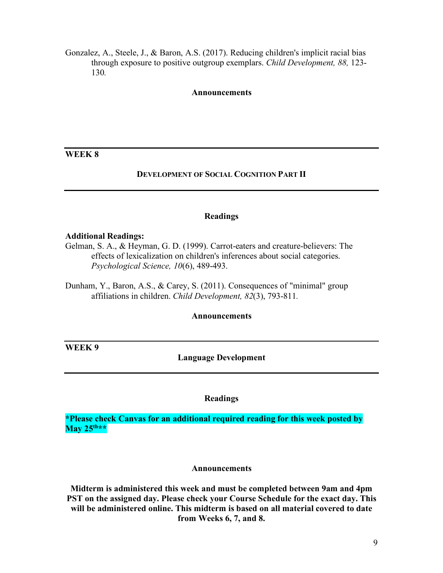Gonzalez, A., Steele, J., & Baron, A.S. (2017). Reducing children's implicit racial bias through exposure to positive outgroup exemplars. *Child Development, 88,* 123- 130*.*

#### **Announcements**

## **WEEK 8**

### **DEVELOPMENT OF SOCIAL COGNITION PART II**

#### **Readings**

#### **Additional Readings:**

Gelman, S. A., & Heyman, G. D. (1999). Carrot-eaters and creature-believers: The effects of lexicalization on children's inferences about social categories. *Psychological Science, 10*(6), 489-493.

Dunham, Y., Baron, A.S., & Carey, S. (2011). Consequences of "minimal" group affiliations in children. *Child Development, 82*(3), 793-811*.*

## **Announcements**

**WEEK 9**

### **Language Development**

## **Readings**

**\*Please check Canvas for an additional required reading for this week posted by May 25th\*\***

#### **Announcements**

**Midterm is administered this week and must be completed between 9am and 4pm PST on the assigned day. Please check your Course Schedule for the exact day. This will be administered online. This midterm is based on all material covered to date from Weeks 6, 7, and 8.**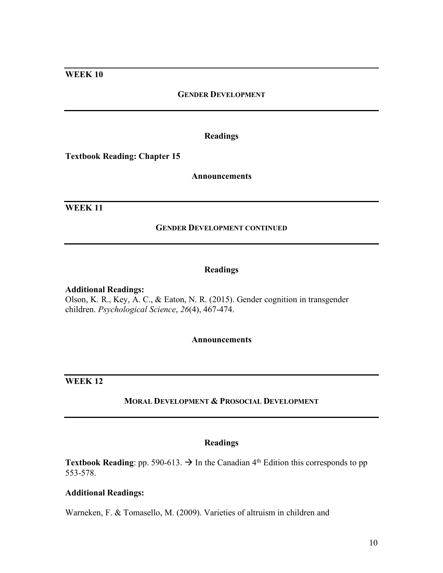## **WEEK 10**

### **GENDER DEVELOPMENT**

## **Readings**

**Textbook Reading: Chapter 15**

#### **Announcements**

## **WEEK 11**

#### **GENDER DEVELOPMENT CONTINUED**

#### **Readings**

#### **Additional Readings:**

Olson, K. R., Key, A. C., & Eaton, N. R. (2015). Gender cognition in transgender children. *Psychological Science*, *26*(4), 467-474.

#### **Announcements**

**WEEK 12**

## **MORAL DEVELOPMENT & PROSOCIAL DEVELOPMENT**

#### **Readings**

**Textbook Reading**: pp. 590-613.  $\rightarrow$  In the Canadian 4<sup>th</sup> Edition this corresponds to pp 553-578.

### **Additional Readings:**

Warneken, F. & Tomasello, M. (2009). Varieties of altruism in children and